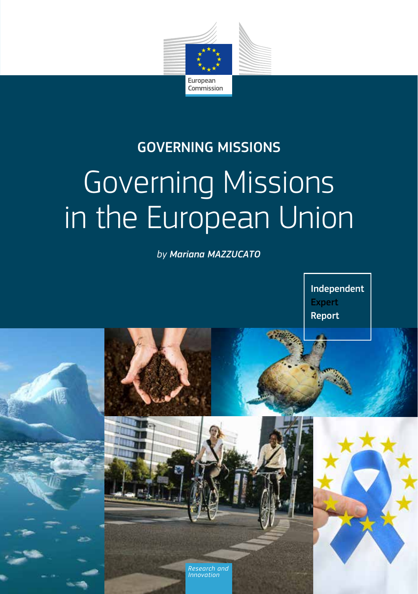

# Governing Missions in the European Union GOVERNING MISSIONS

*by Mariana MAZZUCATO*



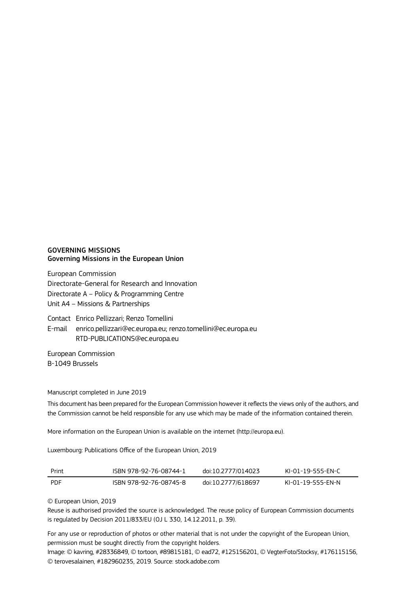#### GOVERNING MISSIONS Governing Missions in the European Union

European Commission Directorate-General for Research and Innovation Directorate A – Policy & Programming Centre Unit A4 – Missions & Partnerships

Contact Enrico Pellizzari; Renzo Tomellini

E-mail enrico.pellizzari@ec.europa.eu; renzo.tomellini@ec.europa.eu RTD-PUBLICATIONS@ec.europa.eu

European Commission B-1049 Brussels

#### Manuscript completed in June 2019

This document has been prepared for the European Commission however it reflects the views only of the authors, and the Commission cannot be held responsible for any use which may be made of the information contained therein.

More information on the European Union is available on the internet (http://europa.eu).

Luxembourg: Publications Office of the European Union, 2019

| Print | ISBN 978-92-76-08744-1 | doi:10.2777/014023 | KI-01-19-555-EN-C |
|-------|------------------------|--------------------|-------------------|
| PDF   | ISBN 978-92-76-08745-8 | doi:10.2777/618697 | KI-01-19-555-EN-N |

© European Union, 2019

Reuse is authorised provided the source is acknowledged. The reuse policy of European Commission documents is regulated by Decision 2011/833/EU (OJ L 330, 14.12.2011, p. 39).

For any use or reproduction of photos or other material that is not under the copyright of the European Union, permission must be sought directly from the copyright holders.

Image: © kavring, #28336849, © tortoon, #89815181, © ead72, #125156201, © VegterFoto/Stocksy, #176115156, © terovesalainen, #182960235, 2019. Source: stock.adobe.com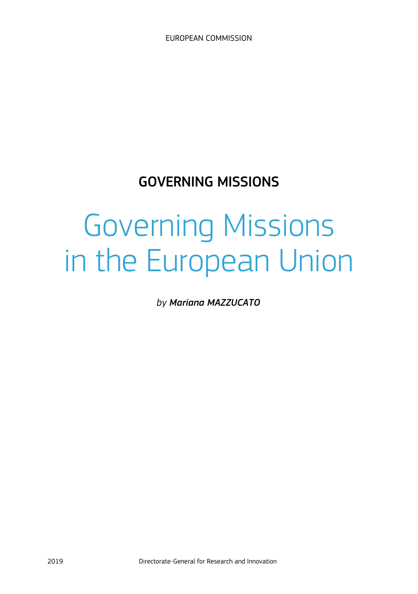# GOVERNING MISSIONS

# Governing Missions in the European Union

*by Mariana MAZZUCATO*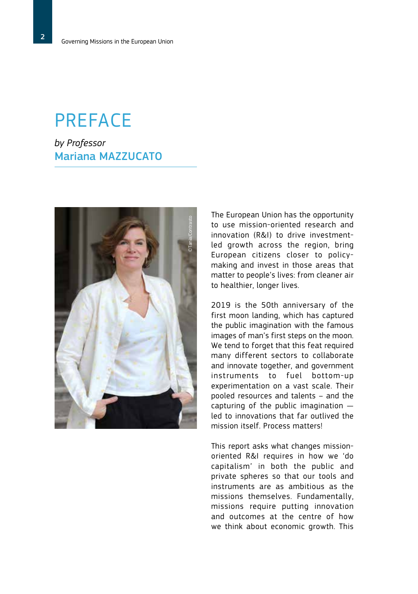# PREFACE

*by Professor* Mariana MAZZUCATO



The European Union has the opportunity to use mission-oriented research and innovation (R&I) to drive investmentled growth across the region, bring European citizens closer to policymaking and invest in those areas that matter to people's lives: from cleaner air to healthier, longer lives.

2019 is the 50th anniversary of the first moon landing, which has captured the public imagination with the famous images of man's first steps on the moon. We tend to forget that this feat required many different sectors to collaborate and innovate together, and government instruments to fuel bottom-up experimentation on a vast scale. Their pooled resources and talents – and the capturing of the public imagination led to innovations that far outlived the mission itself. Process matters!

This report asks what changes missionoriented R&I requires in how we 'do capitalism' in both the public and private spheres so that our tools and instruments are as ambitious as the missions themselves. Fundamentally, missions require putting innovation and outcomes at the centre of how we think about economic growth. This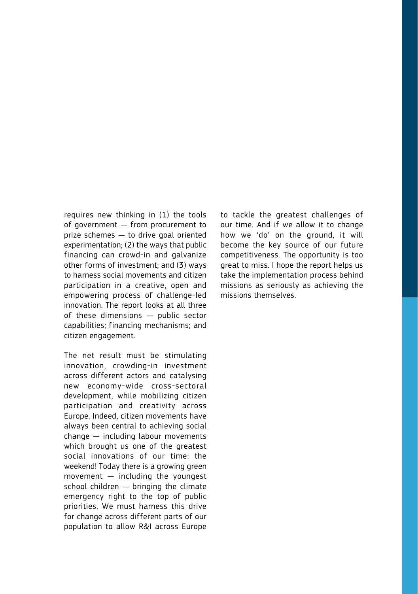requires new thinking in (1) the tools of government — from procurement to prize schemes — to drive goal oriented experimentation; (2) the ways that public financing can crowd-in and galvanize other forms of investment; and (3) ways to harness social movements and citizen participation in a creative, open and empowering process of challenge-led innovation. The report looks at all three of these dimensions — public sector capabilities; financing mechanisms; and citizen engagement.

The net result must be stimulating innovation, crowding-in investment across different actors and catalysing new economy-wide cross-sectoral development, while mobilizing citizen participation and creativity across Europe. Indeed, citizen movements have always been central to achieving social change — including labour movements which brought us one of the greatest social innovations of our time: the weekend! Today there is a growing green movement  $-$  including the youngest school children — bringing the climate emergency right to the top of public priorities. We must harness this drive for change across different parts of our population to allow R&I across Europe

to tackle the greatest challenges of our time. And if we allow it to change how we 'do' on the ground, it will become the key source of our future competitiveness. The opportunity is too great to miss. I hope the report helps us take the implementation process behind missions as seriously as achieving the missions themselves.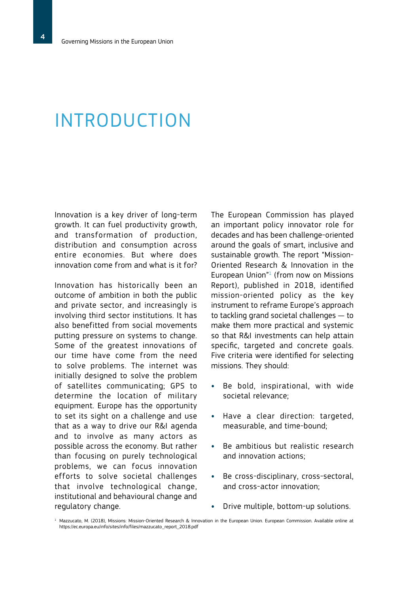# INTRODUCTION

Innovation is a key driver of long-term growth. It can fuel productivity growth, and transformation of production, distribution and consumption across entire economies. But where does innovation come from and what is it for?

Innovation has historically been an outcome of ambition in both the public and private sector, and increasingly is involving third sector institutions. It has also benefitted from social movements putting pressure on systems to change. Some of the greatest innovations of our time have come from the need to solve problems. The internet was initially designed to solve the problem of satellites communicating; GPS to determine the location of military equipment. Europe has the opportunity to set its sight on a challenge and use that as a way to drive our R&I agenda and to involve as many actors as possible across the economy. But rather than focusing on purely technological problems, we can focus innovation efforts to solve societal challenges that involve technological change, institutional and behavioural change and regulatory change.

The European Commission has played an important policy innovator role for decades and has been challenge-oriented around the goals of smart, inclusive and sustainable growth. The report "Mission-Oriented Research & Innovation in the European Union"<sup>1</sup> (from now on Missions Report), published in 2018, identified mission-oriented policy as the key instrument to reframe Europe's approach to tackling grand societal challenges — to make them more practical and systemic so that R&I investments can help attain specific, targeted and concrete goals. Five criteria were identified for selecting missions. They should:

- **•** Be bold, inspirational, with wide societal relevance;
- **•** Have a clear direction: targeted, measurable, and time-bound;
- **•** Be ambitious but realistic research and innovation actions;
- **•** Be cross-disciplinary, cross-sectoral, and cross-actor innovation;
- **•** Drive multiple, bottom-up solutions.
- <sup>1</sup> Mazzucato, M. (2018), Missions: Mission-Oriented Research & Innovation in the European Union. European Commission. Available online at https://ec.europa.eu/info/sites/info/files/mazzucato\_report\_2018.pdf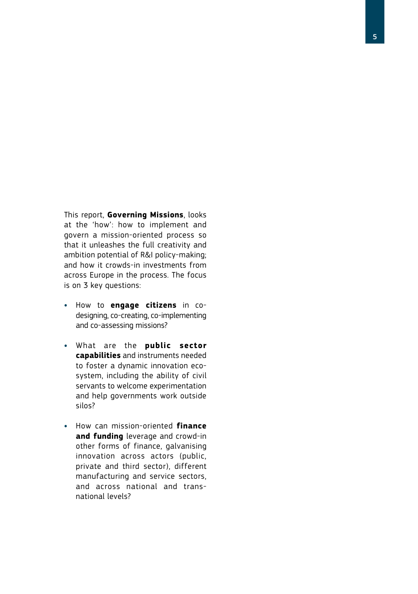This report, **Governing Missions**, looks at the 'how': how to implement and govern a mission-oriented process so that it unleashes the full creativity and ambition potential of R&I policy-making; and how it crowds-in investments from across Europe in the process. The focus is on 3 key questions:

- **•** How to **engage citizens** in codesigning, co-creating, co-implementing and co-assessing missions?
- **•** What are the **public sector capabilities** and instruments needed to foster a dynamic innovation ecosystem, including the ability of civil servants to welcome experimentation and help governments work outside silos?
- **•** How can mission-oriented **finance and funding** leverage and crowd-in other forms of finance, galvanising innovation across actors (public, private and third sector), different manufacturing and service sectors, and across national and transnational levels?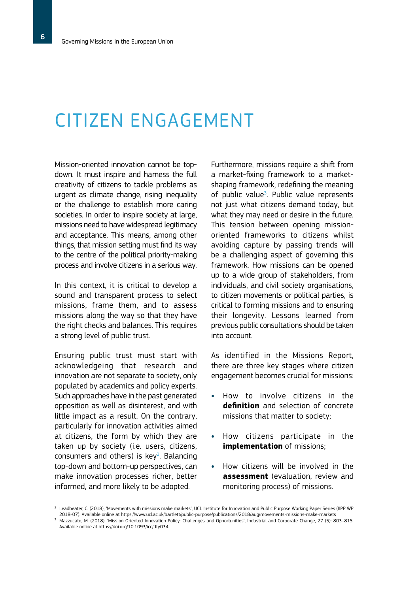# CITIZEN ENGAGEMENT

Mission-oriented innovation cannot be topdown. It must inspire and harness the full creativity of citizens to tackle problems as urgent as climate change, rising inequality or the challenge to establish more caring societies. In order to inspire society at large, missions need to have widespread legitimacy and acceptance. This means, among other things, that mission setting must find its way to the centre of the political priority-making process and involve citizens in a serious way.

In this context, it is critical to develop a sound and transparent process to select missions, frame them, and to assess missions along the way so that they have the right checks and balances. This requires a strong level of public trust.

Ensuring public trust must start with acknowledgeing that research and innovation are not separate to society, only populated by academics and policy experts. Such approaches have in the past generated opposition as well as disinterest, and with little impact as a result. On the contrary, particularly for innovation activities aimed at citizens, the form by which they are taken up by society (i.e. users, citizens, consumers and others) is  $key^2$ . Balancing top-down and bottom-up perspectives, can make innovation processes richer, better informed, and more likely to be adopted.

Furthermore, missions require a shift from a market-fixing framework to a marketshaping framework, redefining the meaning of public value<sup>3</sup>. Public value represents not just what citizens demand today, but what they may need or desire in the future. This tension between opening missionoriented frameworks to citizens whilst avoiding capture by passing trends will be a challenging aspect of governing this framework. How missions can be opened up to a wide group of stakeholders, from individuals, and civil society organisations, to citizen movements or political parties, is critical to forming missions and to ensuring their longevity. Lessons learned from previous public consultations should be taken into account.

As identified in the Missions Report, there are three key stages where citizen engagement becomes crucial for missions:

- **•** How to involve citizens in the **definition** and selection of concrete missions that matter to society;
- **•** How citizens participate in the **implementation** of missions;
- **•** How citizens will be involved in the **assessment** (evaluation, review and monitoring process) of missions.

<sup>&</sup>lt;sup>2</sup> Leadbeater, C. (2018), 'Movements with missions make markets', UCL Institute for Innovation and Public Purpose Working Paper Series (IIPP WP 2018-07). Available online at https://www.ucl.ac.uk/bartlett/public-purpose/publications/2018/aug/movements-missions-make-markets

<sup>3</sup> Mazzucato, M. (2018), 'Mission Oriented Innovation Policy: Challenges and Opportunities', Industrial and Corporate Change, 27 (5): 803–815. Available online at https://doi.org/10.1093/icc/dty034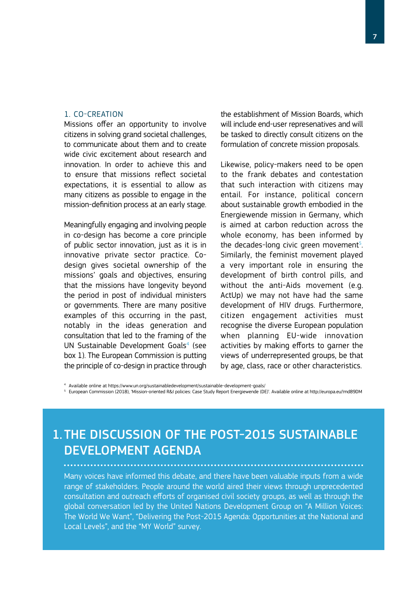#### 1. CO-CREATION

Missions offer an opportunity to involve citizens in solving grand societal challenges, to communicate about them and to create wide civic excitement about research and innovation. In order to achieve this and to ensure that missions reflect societal expectations, it is essential to allow as many citizens as possible to engage in the mission-definition process at an early stage.

Meaningfully engaging and involving people in co-design has become a core principle of public sector innovation, just as it is in innovative private sector practice. Codesign gives societal ownership of the missions' goals and objectives, ensuring that the missions have longevity beyond the period in post of individual ministers or governments. There are many positive examples of this occurring in the past, notably in the ideas generation and consultation that led to the framing of the UN Sustainable Development Goals<sup>4</sup> (see box 1). The European Commission is putting the principle of co-design in practice through

the establishment of Mission Boards, which will include end-user represenatives and will be tasked to directly consult citizens on the formulation of concrete mission proposals.

Likewise, policy-makers need to be open to the frank debates and contestation that such interaction with citizens may entail. For instance, political concern about sustainable growth embodied in the Energiewende mission in Germany, which is aimed at carbon reduction across the whole economy, has been informed by the decades-long civic green movement<sup>5</sup>. Similarly, the feminist movement played a very important role in ensuring the development of birth control pills, and without the anti-Aids movement (e.g. ActUp) we may not have had the same development of HIV drugs. Furthermore, citizen engagement activities must recognise the diverse European population when planning EU-wide innovation activities by making efforts to garner the views of underrepresented groups, be that by age, class, race or other characteristics.

<sup>4</sup> Available online at https://www.un.org/sustainabledevelopment/sustainable-development-goals/

<sup>5</sup> European Commission (2018), 'Mission-oriented R&I policies: Case Study Report Energiewende (DE)'. Available online at http://europa.eu/!md89DM

## 1. THE DISCUSSION OF THE POST-2015 SUSTAINABLE DEVELOPMENT AGENDA

Many voices have informed this debate, and there have been valuable inputs from a wide range of stakeholders. People around the world aired their views through unprecedented consultation and outreach efforts of organised civil society groups, as well as through the global conversation led by the United Nations Development Group on "A Million Voices: The World We Want", "Delivering the Post-2015 Agenda: Opportunities at the National and Local Levels", and the "MY World" survey.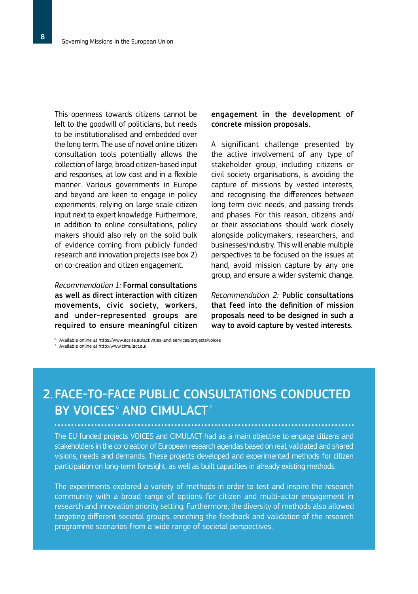This openness towards citizens cannot be left to the goodwill of politicians, but needs to be institutionalised and embedded over the long term. The use of novel online citizen consultation tools potentially allows the collection of large, broad citizen-based input and responses, at low cost and in a flexible manner. Various governments in Europe and beyond are keen to engage in policy experiments, relying on large scale citizen input next to expert knowledge. Furthermore, in addition to online consultations, policy makers should also rely on the solid bulk of evidence coming from publicly funded research and innovation projects (see box 2) on co-creation and citizen engagement.

*Recommendation 1:* Formal consultations as well as direct interaction with citizen movements, civic society, workers, and under-represented groups are required to ensure meaningful citizen engagement in the development of concrete mission proposals.

A significant challenge presented by the active involvement of any type of stakeholder group, including citizens or civil society organisations, is avoiding the capture of missions by vested interests, and recognising the differences between long term civic needs, and passing trends and phases. For this reason, citizens and/ or their associations should work closely alongside policymakers, researchers, and businesses/industry. This will enable multiple perspectives to be focused on the issues at hand, avoid mission capture by any one group, and ensure a wider systemic change.

*Recommendation 2:* Public consultations that feed into the definition of mission proposals need to be designed in such a way to avoid capture by vested interests.

<sup>6</sup> Available online at https://www.ecsite.eu/activities-and-services/projects/voices

<sup>7</sup> Available online at http://www.cimulact.eu/

# FACE-TO-FACE PUBLIC CONSULTATIONS CONDUCTED 2. BY VOICES $^{\circ}$  AND CIMULACT $^{\circ}$

The EU funded projects VOICES and CIMULACT had as a main objective to engage citizens and stakeholders in the co-creation of European research agendas based on real, validated and shared visions, needs and demands. These projects developed and experimented methods for citizen participation on long-term foresight, as well as built capacities in already existing methods.

The experiments explored a variety of methods in order to test and inspire the research community with a broad range of options for citizen and multi-actor engagement in research and innovation priority setting. Furthermore, the diversity of methods also allowed targeting different societal groups, enriching the feedback and validation of the research programme scenarios from a wide range of societal perspectives.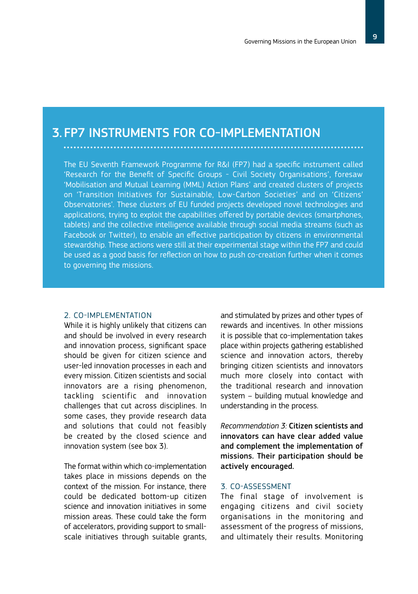### 3. FP7 INSTRUMENTS FOR CO-IMPLEMENTATION

The EU Seventh Framework Programme for R&I (FP7) had a specific instrument called 'Research for the Benefit of Specific Groups - Civil Society Organisations', foresaw 'Mobilisation and Mutual Learning (MML) Action Plans' and created clusters of projects on 'Transition Initiatives for Sustainable, Low-Carbon Societies' and on 'Citizens' Observatories'. These clusters of EU funded projects developed novel technologies and applications, trying to exploit the capabilities offered by portable devices (smartphones, tablets) and the collective intelligence available through social media streams (such as Facebook or Twitter), to enable an effective participation by citizens in environmental stewardship. These actions were still at their experimental stage within the FP7 and could be used as a good basis for reflection on how to push co-creation further when it comes to governing the missions.

#### 2. CO-IMPLEMENTATION

While it is highly unlikely that citizens can and should be involved in every research and innovation process, significant space should be given for citizen science and user-led innovation processes in each and every mission. Citizen scientists and social innovators are a rising phenomenon. tackling scientific and innovation challenges that cut across disciplines. In some cases, they provide research data and solutions that could not feasibly be created by the closed science and innovation system (see box 3).

The format within which co-implementation takes place in missions depends on the context of the mission. For instance, there could be dedicated bottom-up citizen science and innovation initiatives in some mission areas. These could take the form of accelerators, providing support to smallscale initiatives through suitable grants, and stimulated by prizes and other types of rewards and incentives. In other missions it is possible that co-implementation takes place within projects gathering established science and innovation actors, thereby bringing citizen scientists and innovators much more closely into contact with the traditional research and innovation system – building mutual knowledge and understanding in the process.

*Recommendation 3:* Citizen scientists and innovators can have clear added value and complement the implementation of missions. Their participation should be actively encouraged.

#### 3. CO-ASSESSMENT

The final stage of involvement is engaging citizens and civil society organisations in the monitoring and assessment of the progress of missions, and ultimately their results. Monitoring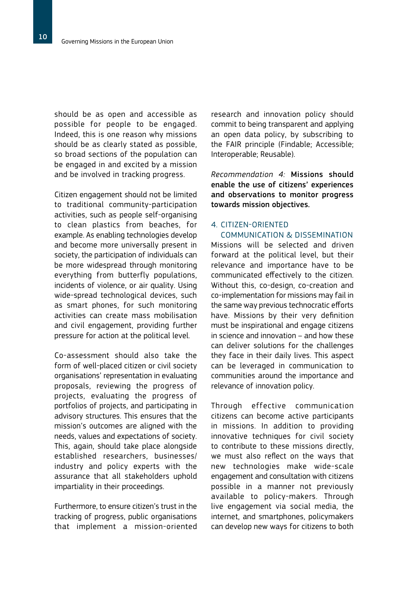should be as open and accessible as possible for people to be engaged. Indeed, this is one reason why missions should be as clearly stated as possible, so broad sections of the population can be engaged in and excited by a mission and be involved in tracking progress.

Citizen engagement should not be limited to traditional community-participation activities, such as people self-organising to clean plastics from beaches, for example. As enabling technologies develop and become more universally present in society, the participation of individuals can be more widespread through monitoring everything from butterfly populations, incidents of violence, or air quality. Using wide-spread technological devices, such as smart phones, for such monitoring activities can create mass mobilisation and civil engagement, providing further pressure for action at the political level.

Co-assessment should also take the form of well-placed citizen or civil society organisations' representation in evaluating proposals, reviewing the progress of projects, evaluating the progress of portfolios of projects, and participating in advisory structures. This ensures that the mission's outcomes are aligned with the needs, values and expectations of society. This, again, should take place alongside established researchers, businesses/ industry and policy experts with the assurance that all stakeholders uphold impartiality in their proceedings.

Furthermore, to ensure citizen's trust in the tracking of progress, public organisations that implement a mission-oriented

research and innovation policy should commit to being transparent and applying an open data policy, by subscribing to the FAIR principle (Findable; Accessible; Interoperable; Reusable).

*Recommendation 4:* Missions should enable the use of citizens' experiences and observations to monitor progress towards mission objectives.

#### 4. CITIZEN-ORIENTED COMMUNICATION & DISSEMINATION

Missions will be selected and driven forward at the political level, but their relevance and importance have to be communicated effectively to the citizen. Without this, co-design, co-creation and co-implementation for missions may fail in the same way previous technocratic efforts have. Missions by their very definition must be inspirational and engage citizens in science and innovation – and how these can deliver solutions for the challenges they face in their daily lives. This aspect can be leveraged in communication to communities around the importance and relevance of innovation policy.

Through effective communication citizens can become active participants in missions. In addition to providing innovative techniques for civil society to contribute to these missions directly, we must also reflect on the ways that new technologies make wide-scale engagement and consultation with citizens possible in a manner not previously available to policy-makers. Through live engagement via social media, the internet, and smartphones, policymakers can develop new ways for citizens to both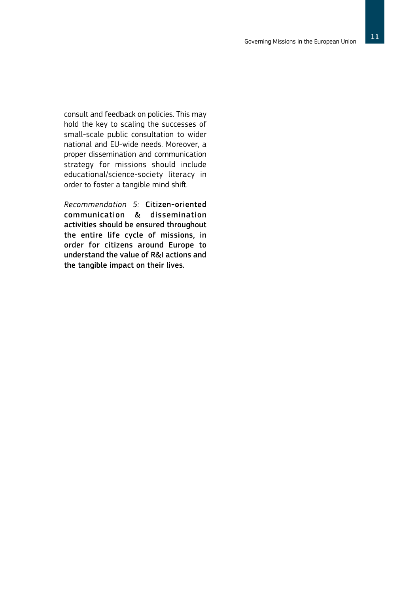consult and feedback on policies. This may hold the key to scaling the successes of small-scale public consultation to wider national and EU-wide needs. Moreover, a proper dissemination and communication strategy for missions should include educational/science-society literacy in order to foster a tangible mind shift.

*Recommendation 5:* Citizen-oriented communication & dissemination activities should be ensured throughout the entire life cycle of missions, in order for citizens around Europe to understand the value of R&I actions and the tangible impact on their lives.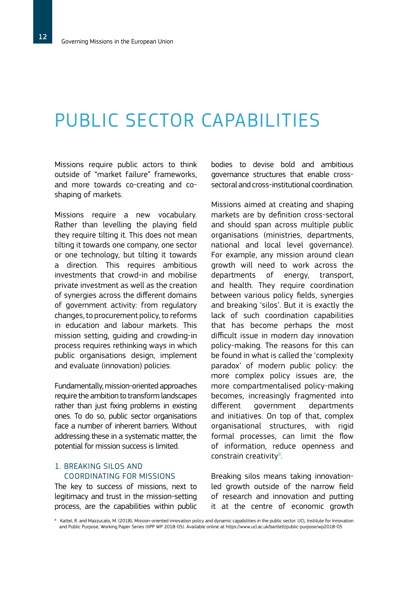# PUBLIC SECTOR CAPABILITIES

Missions require public actors to think outside of "market failure" frameworks, and more towards co-creating and coshaping of markets.

Missions require a new vocabulary. Rather than levelling the playing field they require tilting it. This does not mean tilting it towards one company, one sector or one technology, but tilting it towards a direction. This requires ambitious investments that crowd-in and mobilise private investment as well as the creation of synergies across the different domains of government activity: from regulatory changes, to procurement policy, to reforms in education and labour markets. This mission setting, guiding and crowding-in process requires rethinking ways in which public organisations design, implement and evaluate (innovation) policies.

Fundamentally, mission-oriented approaches require the ambition to transform landscapes rather than just fixing problems in existing ones. To do so, public sector organisations face a number of inherent barriers. Without addressing these in a systematic matter, the potential for mission success is limited.

#### 1. BREAKING SILOS AND COORDINATING FOR MISSIONS

The key to success of missions, next to legitimacy and trust in the mission-setting process, are the capabilities within public bodies to devise bold and ambitious governance structures that enable crosssectoral and cross-institutional coordination.

Missions aimed at creating and shaping markets are by definition cross-sectoral and should span across multiple public organisations (ministries, departments, national and local level governance). For example, any mission around clean growth will need to work across the departments of energy, transport, and health. They require coordination between various policy fields, synergies and breaking 'silos'. But it is exactly the lack of such coordination capabilities that has become perhaps the most difficult issue in modern day innovation policy-making. The reasons for this can be found in what is called the 'complexity paradox' of modern public policy: the more complex policy issues are, the more compartmentalised policy-making becomes, increasingly fragmented into different government departments and initiatives. On top of that, complex organisational structures, with rigid formal processes, can limit the flow of information, reduce openness and constrain creativity $8$ . .

Breaking silos means taking innovationled growth outside of the narrow field of research and innovation and putting it at the centre of economic growth

<sup>8</sup> Kattel, R. and Mazzucato, M. (2018), Mission-oriented innovation policy and dynamic capabilities in the public sector. UCL Institute for Innovation and Public Purpose, Working Paper Series (IIPP WP 2018-05). Available online at https://www.ucl.ac.uk/bartlett/public-purpose/wp2018-05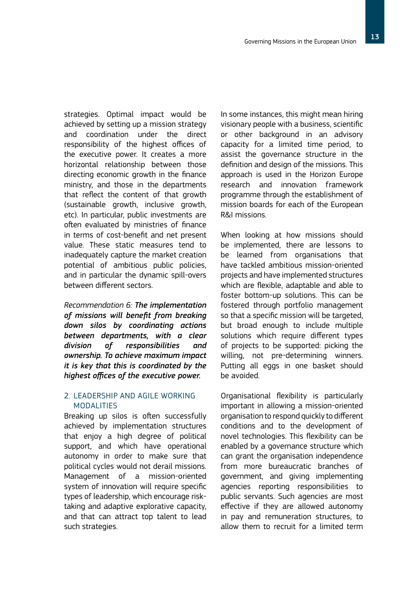strategies. Optimal impact would be achieved by setting up a mission strategy and coordination under the direct responsibility of the highest offices of the executive power. It creates a more horizontal relationship between those directing economic growth in the finance ministry, and those in the departments that reflect the content of that growth (sustainable growth, inclusive growth, etc). In particular, public investments are often evaluated by ministries of finance in terms of cost-benefit and net present value. These static measures tend to inadequately capture the market creation potential of ambitious public policies, and in particular the dynamic spill-overs between different sectors.

*Recommendation 6: The implementation of missions will benefit from breaking down silos by coordinating actions between departments, with a clear division of responsibilities and ownership. To achieve maximum impact it is key that this is coordinated by the highest offices of the executive power.* 

#### 2. LEADERSHIP AND AGILE WORKING MODALITIES

Breaking up silos is often successfully achieved by implementation structures that enjoy a high degree of political support, and which have operational autonomy in order to make sure that political cycles would not derail missions. Management of a mission-oriented system of innovation will require specific types of leadership, which encourage risktaking and adaptive explorative capacity, and that can attract top talent to lead such strategies.

In some instances, this might mean hiring visionary people with a business, scientific or other background in an advisory capacity for a limited time period, to assist the governance structure in the definition and design of the missions. This approach is used in the Horizon Europe research and innovation framework programme through the establishment of mission boards for each of the European R&I missions.

When looking at how missions should be implemented, there are lessons to be learned from organisations that have tackled ambitious mission-oriented projects and have implemented structures which are flexible, adaptable and able to foster bottom-up solutions. This can be fostered through portfolio management so that a specific mission will be targeted, but broad enough to include multiple solutions which require different types of projects to be supported: picking the willing, not pre-determining winners. Putting all eggs in one basket should be avoided.

Organisational flexibility is particularly important in allowing a mission-oriented organisation to respond quickly to different conditions and to the development of novel technologies. This flexibility can be enabled by a governance structure which can grant the organisation independence from more bureaucratic branches of government, and giving implementing agencies reporting responsibilities to public servants. Such agencies are most effective if they are allowed autonomy in pay and remuneration structures, to allow them to recruit for a limited term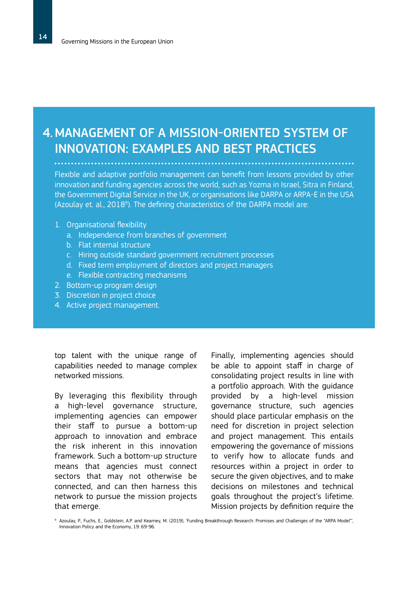# MANAGEMENT OF A MISSION-ORIENTED SYSTEM OF 4. INNOVATION: EXAMPLES AND BEST PRACTICES

Flexible and adaptive portfolio management can benefit from lessons provided by other innovation and funding agencies across the world, such as Yozma in Israel, Sitra in Finland, the Government Digital Service in the UK, or organisations like DARPA or ARPA-E in the USA (Azoulay et. al., 2018<sup>9</sup>). The defining characteristics of the DARPA model are:

- 1. Organisational flexibility
	- a. Independence from branches of government
	- b. Flat internal structure
	- c. Hiring outside standard government recruitment processes
	- d. Fixed term employment of directors and project managers
	- e. Flexible contracting mechanisms
- 2. Bottom-up program design
- 3. Discretion in project choice
- 4. Active project management.

top talent with the unique range of capabilities needed to manage complex networked missions.

By leveraging this flexibility through a high-level governance structure, implementing agencies can empower their staff to pursue a bottom-up approach to innovation and embrace the risk inherent in this innovation framework. Such a bottom-up structure means that agencies must connect sectors that may not otherwise be connected, and can then harness this network to pursue the mission projects that emerge.

Finally, implementing agencies should be able to appoint staff in charge of consolidating project results in line with a portfolio approach. With the guidance provided by a high-level mission governance structure, such agencies should place particular emphasis on the need for discretion in project selection and project management. This entails empowering the governance of missions to verify how to allocate funds and resources within a project in order to secure the given objectives, and to make decisions on milestones and technical goals throughout the project's lifetime. Mission projects by definition require the

<sup>9</sup> Azoulay, P., Fuchs, E., Goldstein, A.P. and Kearney, M. (2019), 'Funding Breakthrough Research: Promises and Challenges of the "ARPA Model"', Innovation Policy and the Economy, 19: 69-96.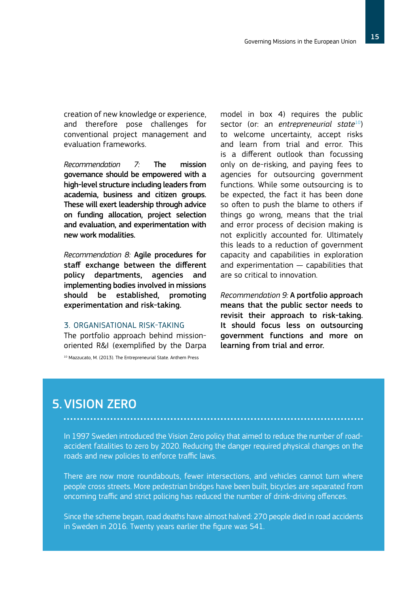creation of new knowledge or experience, and therefore pose challenges for conventional project management and evaluation frameworks.

*Recommendation 7:* The mission governance should be empowered with a high-level structure including leaders from academia, business and citizen groups. These will exert leadership through advice on funding allocation, project selection and evaluation, and experimentation with new work modalities.

*Recommendation 8:* Agile procedures for staff exchange between the different policy departments, agencies and implementing bodies involved in missions should be established, promoting experimentation and risk-taking.

#### 3. ORGANISATIONAL RISK-TAKING

The portfolio approach behind missionoriented R&I (exemplified by the Darpa

<sup>10</sup> Mazzucato, M. (2013). The Entrepreneurial State. Anthem Press

model in box 4) requires the public sector (or: an *entrepreneurial state*<sup>10</sup>) to welcome uncertainty, accept risks and learn from trial and error. This is a different outlook than focussing only on de-risking, and paying fees to agencies for outsourcing government functions. While some outsourcing is to be expected, the fact it has been done so often to push the blame to others if things go wrong, means that the trial and error process of decision making is not explicitly accounted for. Ultimately this leads to a reduction of government capacity and capabilities in exploration and experimentation — capabilities that are so critical to innovation.

*Recommendation 9:* A portfolio approach means that the public sector needs to revisit their approach to risk-taking. It should focus less on outsourcing government functions and more on learning from trial and error.

### 5. VISION ZERO

In 1997 Sweden introduced the Vision Zero policy that aimed to reduce the number of roadaccident fatalities to zero by 2020. Reducing the danger required physical changes on the roads and new policies to enforce traffic laws.

There are now more roundabouts, fewer intersections, and vehicles cannot turn where people cross streets. More pedestrian bridges have been built, bicycles are separated from oncoming traffic and strict policing has reduced the number of drink-driving offences.

Since the scheme began, road deaths have almost halved: 270 people died in road accidents in Sweden in 2016. Twenty years earlier the figure was 541.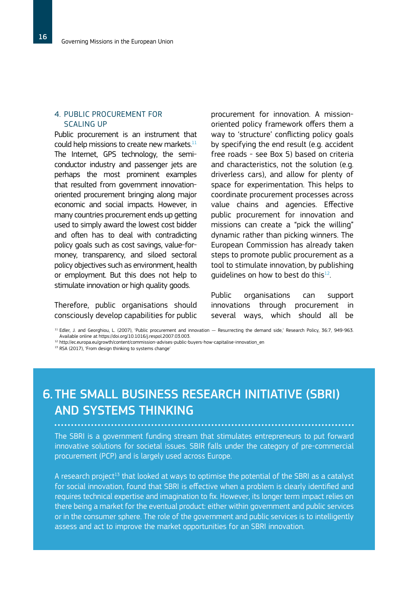#### 4. PUBLIC PROCUREMENT FOR SCALING UP

Public procurement is an instrument that could help missions to create new markets. $^{11}$ The Internet, GPS technology, the semiconductor industry and passenger jets are perhaps the most prominent examples that resulted from government innovationoriented procurement bringing along major economic and social impacts. However, in many countries procurement ends up getting used to simply award the lowest cost bidder and often has to deal with contradicting policy goals such as cost savings, value-formoney, transparency, and siloed sectoral policy objectives such as environment, health or employment. But this does not help to stimulate innovation or high quality goods.

Therefore, public organisations should consciously develop capabilities for public procurement for innovation. A missionoriented policy framework offers them a way to 'structure' conflicting policy goals by specifying the end result (e.g. accident free roads - see Box 5) based on criteria and characteristics, not the solution (e.g. driverless cars), and allow for plenty of space for experimentation. This helps to coordinate procurement processes across value chains and agencies. Effective public procurement for innovation and missions can create a "pick the willing" dynamic rather than picking winners. The European Commission has already taken steps to promote public procurement as a tool to stimulate innovation, by publishing quidelines on how to best do this $^{12}$ .

Public organisations can support innovations through procurement in several ways, which should all be

<sup>11</sup> Edler, J. and Georghiou, L. (2007), 'Public procurement and innovation — Resurrecting the demand side,' Research Policy, 36:7, 949-963. Available online at https://doi.org/10.1016/j.respol.2007.03.003.

<sup>12</sup> http://ec.europa.eu/growth/content/commission-advises-public-buyers-how-capitalise-innovation\_en

<sup>13</sup> RSA (2017), 'From design thinking to systems change'

# THE SMALL BUSINESS RESEARCH INITIATIVE (SBRI) 6. AND SYSTEMS THINKING

The SBRI is a government funding stream that stimulates entrepreneurs to put forward innovative solutions for societal issues. SBIR falls under the category of pre-commercial procurement (PCP) and is largely used across Europe.

A research project<sup>13</sup> that looked at ways to optimise the potential of the SBRI as a catalyst for social innovation, found that SBRI is effective when a problem is clearly identified and requires technical expertise and imagination to fix. However, its longer term impact relies on there being a market for the eventual product: either within government and public services or in the consumer sphere. The role of the government and public services is to intelligently assess and act to improve the market opportunities for an SBRI innovation.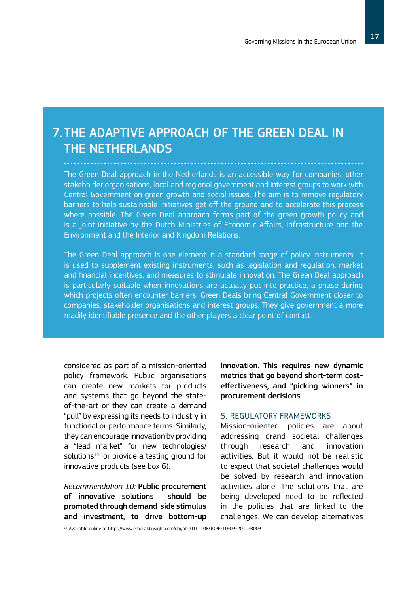### 7. THE ADAPTIVE APPROACH OF THE GREEN DEAL IN THE NETHERLANDS

The Green Deal approach in the Netherlands is an accessible way for companies, other stakeholder organisations, local and regional government and interest groups to work with Central Government on green growth and social issues. The aim is to remove regulatory barriers to help sustainable initiatives get off the ground and to accelerate this process where possible. The Green Deal approach forms part of the green growth policy and is a joint initiative by the Dutch Ministries of Economic Affairs, Infrastructure and the Environment and the Interior and Kingdom Relations.

The Green Deal approach is one element in a standard range of policy instruments. It is used to supplement existing instruments, such as legislation and regulation, market and financial incentives, and measures to stimulate innovation. The Green Deal approach is particularly suitable when innovations are actually put into practice, a phase during which projects often encounter barriers. Green Deals bring Central Government closer to companies, stakeholder organisations and interest groups. They give government a more readily identifiable presence and the other players a clear point of contact.

considered as part of a mission-oriented policy framework. Public organisations can create new markets for products and systems that go beyond the stateof-the-art or they can create a demand "pull" by expressing its needs to industry in functional or performance terms. Similarly, they can encourage innovation by providing a "lead market" for new technologies/ solutions<sup>14</sup>, or provide a testing ground for innovative products (see box 6).

*Recommendation 10:* Public procurement of innovative solutions should be promoted through demand-side stimulus and investment, to drive bottom-up innovation. This requires new dynamic metrics that go beyond short-term costeffectiveness, and "picking winners" in procurement decisions.

#### 5. REGULATORY FRAMEWORKS

Mission-oriented policies are about addressing grand societal challenges through research and innovation activities. But it would not be realistic to expect that societal challenges would be solved by research and innovation activities alone. The solutions that are being developed need to be reflected in the policies that are linked to the challenges. We can develop alternatives

<sup>14</sup> Available online at https://www.emeraldinsight.com/doi/abs/10.1108/JOPP-10-03-2010-B003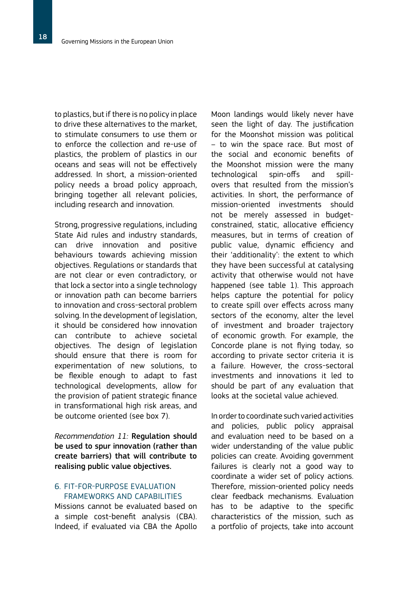to plastics, but if there is no policy in place to drive these alternatives to the market, to stimulate consumers to use them or to enforce the collection and re-use of plastics, the problem of plastics in our oceans and seas will not be effectively addressed. In short, a mission-oriented policy needs a broad policy approach, bringing together all relevant policies, including research and innovation.

Strong, progressive regulations, including State Aid rules and industry standards, can drive innovation and positive behaviours towards achieving mission objectives. Regulations or standards that are not clear or even contradictory, or that lock a sector into a single technology or innovation path can become barriers to innovation and cross-sectoral problem solving. In the development of legislation, it should be considered how innovation can contribute to achieve societal objectives. The design of legislation should ensure that there is room for experimentation of new solutions, to be flexible enough to adapt to fast technological developments, allow for the provision of patient strategic finance in transformational high risk areas, and be outcome oriented (see box 7).

*Recommendation 11:* Regulation should be used to spur innovation (rather than create barriers) that will contribute to realising public value objectives.

#### 6. FIT-FOR-PURPOSE EVALUATION FRAMEWORKS AND CAPABILITIES

Missions cannot be evaluated based on a simple cost-benefit analysis (CBA). Indeed, if evaluated via CBA the Apollo

Moon landings would likely never have seen the light of day. The justification for the Moonshot mission was political – to win the space race. But most of the social and economic benefits of the Moonshot mission were the many technological spin-offs and spillovers that resulted from the mission's activities. In short, the performance of mission-oriented investments should not be merely assessed in budgetconstrained, static, allocative efficiency measures, but in terms of creation of public value, dynamic efficiency and their 'additionality': the extent to which they have been successful at catalysing activity that otherwise would not have happened (see table 1). This approach helps capture the potential for policy to create spill over effects across many sectors of the economy, alter the level of investment and broader trajectory of economic growth. For example, the Concorde plane is not flying today, so according to private sector criteria it is a failure. However, the cross-sectoral investments and innovations it led to should be part of any evaluation that looks at the societal value achieved.

In order to coordinate such varied activities and policies, public policy appraisal and evaluation need to be based on a wider understanding of the value public policies can create. Avoiding government failures is clearly not a good way to coordinate a wider set of policy actions. Therefore, mission-oriented policy needs clear feedback mechanisms. Evaluation has to be adaptive to the specific characteristics of the mission, such as a portfolio of projects, take into account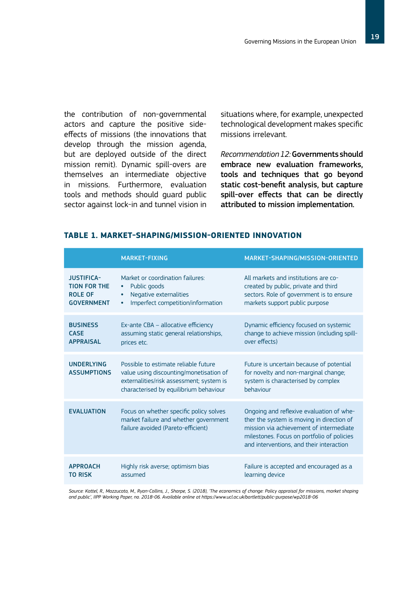the contribution of non-governmental actors and capture the positive sideeffects of missions (the innovations that develop through the mission agenda, but are deployed outside of the direct mission remit). Dynamic spill-overs are themselves an intermediate objective in missions. Furthermore, evaluation tools and methods should guard public sector against lock-in and tunnel vision in

situations where, for example, unexpected technological development makes specific missions irrelevant.

*Recommendation 12:*Governments should embrace new evaluation frameworks, tools and techniques that go beyond static cost-benefit analysis, but capture spill-over effects that can be directly attributed to mission implementation.

|                                                                                 | <b>MARKET-FIXING</b>                                                                                                                                                  | MARKET-SHAPING/MISSION-ORIENTED                                                                                                                                                                                            |
|---------------------------------------------------------------------------------|-----------------------------------------------------------------------------------------------------------------------------------------------------------------------|----------------------------------------------------------------------------------------------------------------------------------------------------------------------------------------------------------------------------|
| <b>JUSTIFICA-</b><br><b>TION FOR THE</b><br><b>ROLE OF</b><br><b>GOVERNMENT</b> | Market or coordination failures:<br>Public goods<br>٠<br>Negative externalities<br>$\bullet$<br>Imperfect competition/information<br>$\bullet$                        | All markets and institutions are co-<br>created by public, private and third<br>sectors. Role of government is to ensure<br>markets support public purpose                                                                 |
| <b>BUSINESS</b><br><b>CASE</b><br><b>APPRAISAL</b>                              | Ex-ante CBA - allocative efficiency<br>assuming static general relationships,<br>prices etc.                                                                          | Dynamic efficiency focused on systemic<br>change to achieve mission (including spill-<br>over effects)                                                                                                                     |
| <b>UNDERLYING</b><br><b>ASSUMPTIONS</b>                                         | Possible to estimate reliable future<br>value using discounting/monetisation of<br>externalities/risk assessment; system is<br>characterised by equilibrium behaviour | Future is uncertain because of potential<br>for novelty and non-marginal change;<br>system is characterised by complex<br>hehaviour                                                                                        |
| <b>EVALUATION</b>                                                               | Focus on whether specific policy solves<br>market failure and whether government<br>failure avoided (Pareto-efficient)                                                | Ongoing and reflexive evaluation of whe-<br>ther the system is moving in direction of<br>mission via achievement of intermediate<br>milestones. Focus on portfolio of policies<br>and interventions, and their interaction |
| <b>APPROACH</b><br><b>TO RISK</b>                                               | Highly risk averse; optimism bias<br>assumed                                                                                                                          | Failure is accepted and encouraged as a<br>learning device                                                                                                                                                                 |

#### **TABLE 1. MARKET-SHAPING/MISSION-ORIENTED INNOVATION**

*Source: Kattel, R., Mazzucato, M., Ryan-Collins, J., Sharpe, S. (2018), 'The economics of change: Policy appraisal for missions, market shaping and public', IIPP Working Paper, no. 2018-06. Available online at https://www.ucl.ac.uk/bartlett/public-purpose/wp2018-06*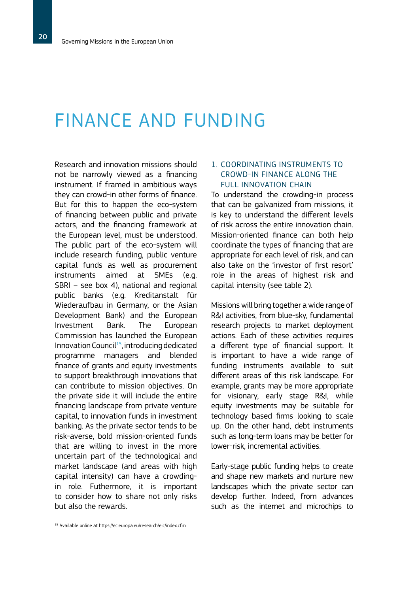# FINANCE AND FUNDING

Research and innovation missions should not be narrowly viewed as a financing instrument. If framed in ambitious ways they can crowd-in other forms of finance. But for this to happen the eco-system of financing between public and private actors, and the financing framework at the European level, must be understood. The public part of the eco-system will include research funding, public venture capital funds as well as procurement instruments aimed at SMEs (e.g. SBRI – see box 4), national and regional public banks (e.g. Kreditanstalt für Wiederaufbau in Germany, or the Asian Development Bank) and the European Investment Bank. The European Commission has launched the European Innovation Council<sup>15</sup>, introducing dedicated programme managers and blended finance of grants and equity investments to support breakthrough innovations that can contribute to mission objectives. On the private side it will include the entire financing landscape from private venture capital, to innovation funds in investment banking. As the private sector tends to be risk-averse, bold mission-oriented funds that are willing to invest in the more uncertain part of the technological and market landscape (and areas with high capital intensity) can have a crowdingin role. Futhermore, it is important to consider how to share not only risks but also the rewards.

### that can be galvanized from missions, it is key to understand the different levels

of risk across the entire innovation chain. Mission-oriented finance can both help coordinate the types of financing that are appropriate for each level of risk, and can also take on the 'investor of first resort' role in the areas of highest risk and capital intensity (see table 2).

1. COORDINATING INSTRUMENTS TO CROWD-IN FINANCE ALONG THE FULL INNOVATION CHAIN

To understand the crowding-in process

Missions will bring together a wide range of R&I activities, from blue-sky, fundamental research projects to market deployment actions. Each of these activities requires a different type of financial support. It is important to have a wide range of funding instruments available to suit different areas of this risk landscape. For example, grants may be more appropriate for visionary, early stage R&I, while equity investments may be suitable for technology based firms looking to scale up. On the other hand, debt instruments such as long-term loans may be better for lower-risk, incremental activities.

Early-stage public funding helps to create and shape new markets and nurture new landscapes which the private sector can develop further. Indeed, from advances such as the internet and microchips to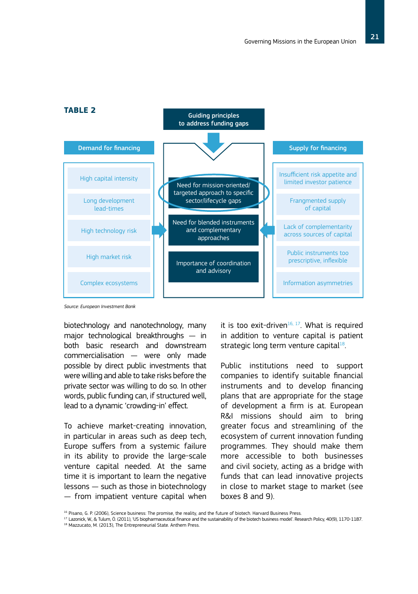

#### **TABLE 2**

*Source: European Investment Bank*

biotechnology and nanotechnology, many major technological breakthroughs — in both basic research and downstream commercialisation — were only made possible by direct public investments that were willing and able to take risks before the private sector was willing to do so. In other words, public funding can, if structured well, lead to a dynamic 'crowding-in' effect.

To achieve market-creating innovation, in particular in areas such as deep tech, Europe suffers from a systemic failure in its ability to provide the large-scale venture capital needed. At the same time it is important to learn the negative lessons — such as those in biotechnology — from impatient venture capital when it is too exit-driven<sup>16, 17</sup>. What is required in addition to venture capital is patient strategic long term venture capital $18$ .

Public institutions need to support companies to identify suitable financial instruments and to develop financing plans that are appropriate for the stage of development a firm is at. European R&I missions should aim to bring greater focus and streamlining of the ecosystem of current innovation funding programmes. They should make them more accessible to both businesses and civil society, acting as a bridge with funds that can lead innovative projects in close to market stage to market (see boxes 8 and 9).

<sup>17</sup> Lazonick, W., & Tulum, Ö. (2011), 'US biopharmaceutical finance and the sustainability of the biotech business model'. Research Policy, 40(9), 1170-1187.

<sup>16</sup> Pisano, G. P. (2006), Science business: The promise, the reality, and the future of biotech. Harvard Business Press.

<sup>18</sup> Mazzucato, M. (2013), The Entrepreneurial State. Anthem Press.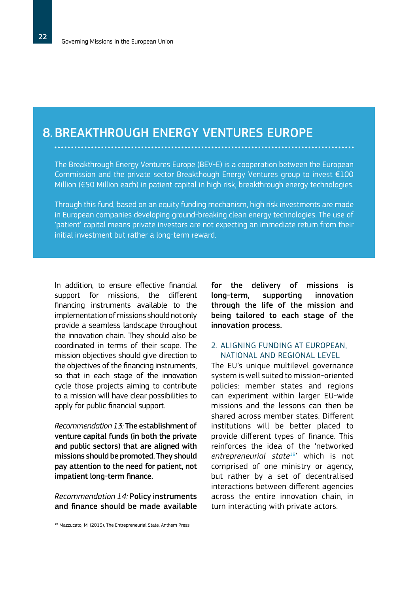### 8. BREAKTHROUGH ENERGY VENTURES EUROPE

The Breakthrough Energy Ventures Europe (BEV-E) is a cooperation between the European Commission and the private sector Breakthough Energy Ventures group to invest €100 Million (€50 Million each) in patient capital in high risk, breakthrough energy technologies.

Through this fund, based on an equity funding mechanism, high risk investments are made in European companies developing ground-breaking clean energy technologies. The use of 'patient' capital means private investors are not expecting an immediate return from their initial investment but rather a long-term reward.

In addition, to ensure effective financial support for missions, the different financing instruments available to the implementation of missions should not only provide a seamless landscape throughout the innovation chain. They should also be coordinated in terms of their scope. The mission objectives should give direction to the objectives of the financing instruments, so that in each stage of the innovation cycle those projects aiming to contribute to a mission will have clear possibilities to apply for public financial support.

*Recommendation 13:* The establishment of venture capital funds (in both the private and public sectors) that are aligned with missions should be promoted. They should pay attention to the need for patient, not impatient long-term finance.

*Recommendation 14:* Policy instruments and finance should be made available for the delivery of missions is long-term, supporting innovation through the life of the mission and being tailored to each stage of the innovation process.

#### 2. ALIGNING FUNDING AT EUROPEAN, NATIONAL AND REGIONAL LEVEL

The EU's unique multilevel governance system is well suited to mission-oriented policies: member states and regions can experiment within larger EU-wide missions and the lessons can then be shared across member states. Different institutions will be better placed to provide different types of finance. This reinforces the idea of the 'networked entrepreneurial state<sup>19</sup>' which is not comprised of one ministry or agency, but rather by a set of decentralised interactions between different agencies across the entire innovation chain, in turn interacting with private actors.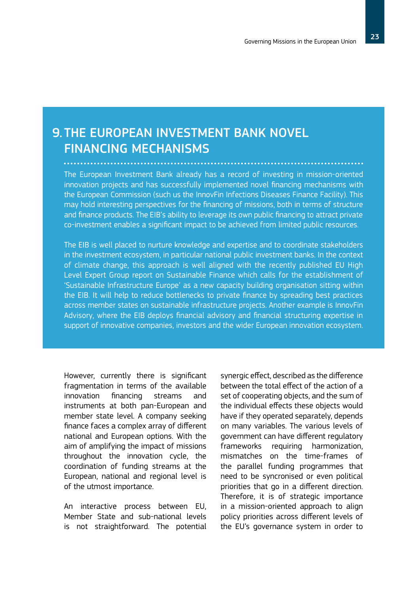### 9. THE EUROPEAN INVESTMENT BANK NOVEL FINANCING MECHANISMS

The European Investment Bank already has a record of investing in mission-oriented innovation projects and has successfully implemented novel financing mechanisms with the European Commission (such us the InnovFin Infections Diseases Finance Facility). This may hold interesting perspectives for the financing of missions, both in terms of structure and finance products. The EIB's ability to leverage its own public financing to attract private co-investment enables a significant impact to be achieved from limited public resources.

The EIB is well placed to nurture knowledge and expertise and to coordinate stakeholders in the investment ecosystem, in particular national public investment banks. In the context of climate change, this approach is well aligned with the recently published EU High Level Expert Group report on Sustainable Finance which calls for the establishment of 'Sustainable Infrastructure Europe' as a new capacity building organisation sitting within the EIB. It will help to reduce bottlenecks to private finance by spreading best practices across member states on sustainable infrastructure projects. Another example is InnovFin Advisory, where the EIB deploys financial advisory and financial structuring expertise in support of innovative companies, investors and the wider European innovation ecosystem.

However, currently there is significant fragmentation in terms of the available innovation financing streams and instruments at both pan-European and member state level. A company seeking finance faces a complex array of different national and European options. With the aim of amplifying the impact of missions throughout the innovation cycle, the coordination of funding streams at the European, national and regional level is of the utmost importance.

An interactive process between EU, Member State and sub-national levels is not straightforward. The potential

synergic effect, described as the difference between the total effect of the action of a set of cooperating objects, and the sum of the individual effects these objects would have if they operated separately, depends on many variables. The various levels of government can have different regulatory frameworks requiring harmonization, mismatches on the time-frames of the parallel funding programmes that need to be syncronised or even political priorities that go in a different direction. Therefore, it is of strategic importance in a mission-oriented approach to align policy priorities across different levels of the EU's governance system in order to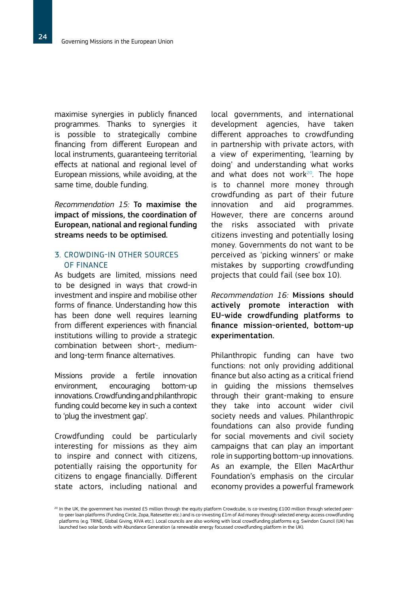maximise synergies in publicly financed programmes. Thanks to synergies it is possible to strategically combine financing from different European and local instruments, guaranteeing territorial effects at national and regional level of European missions, while avoiding, at the same time, double funding.

*Recommendation 15:* To maximise the impact of missions, the coordination of European, national and regional funding streams needs to be optimised.

#### 3. CROWDING-IN OTHER SOURCES OF FINANCE

As budgets are limited, missions need to be designed in ways that crowd-in investment and inspire and mobilise other forms of finance. Understanding how this has been done well requires learning from different experiences with financial institutions willing to provide a strategic combination between short-, mediumand long-term finance alternatives.

Missions provide a fertile innovation environment, encouraging bottom-up innovations. Crowdfunding and philanthropic funding could become key in such a context to 'plug the investment gap'.

Crowdfunding could be particularly interesting for missions as they aim to inspire and connect with citizens, potentially raising the opportunity for citizens to engage financially. Different state actors, including national and

local governments, and international development agencies, have taken different approaches to crowdfunding in partnership with private actors, with a view of experimenting, 'learning by doing' and understanding what works and what does not work $20$ . The hope is to channel more money through crowdfunding as part of their future innovation and aid programmes. However, there are concerns around the risks associated with private citizens investing and potentially losing money. Governments do not want to be perceived as 'picking winners' or make mistakes by supporting crowdfunding projects that could fail (see box 10).

*Recommendation 16:* Missions should actively promote interaction with EU-wide crowdfunding platforms to finance mission-oriented, bottom-up experimentation.

Philanthropic funding can have two functions: not only providing additional finance but also acting as a critical friend in guiding the missions themselves through their grant-making to ensure they take into account wider civil society needs and values. Philanthropic foundations can also provide funding for social movements and civil society campaigns that can play an important role in supporting bottom-up innovations. As an example, the Ellen MacArthur Foundation's emphasis on the circular economy provides a powerful framework

<sup>&</sup>lt;sup>20</sup> In the UK, the government has invested £5 million through the equity platform Crowdcube, is co-investing £100 million through selected peerto-peer loan platforms (Funding Circle, Zopa, Ratesetter etc.) and is co-investing £1m of Aid money through selected energy access crowdfunding platforms (e.g. TRINE, Global Giving, KIVA etc.). Local councils are also working with local crowdfunding platforms e.g. Swindon Council (UK) has launched two solar bonds with Abundance Generation (a renewable energy focussed crowdfunding platform in the UK).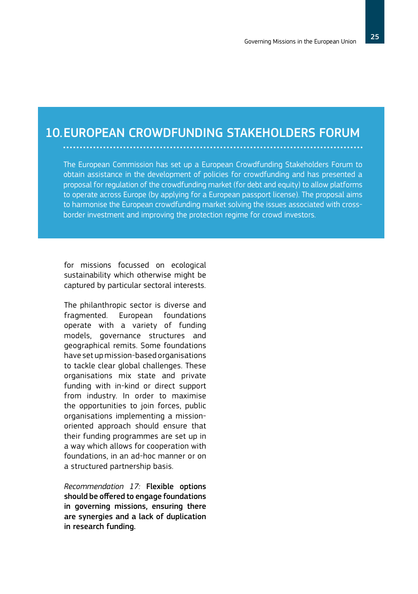### 10. EUROPEAN CROWDFUNDING STAKEHOLDERS FORUM

The European Commission has set up a European Crowdfunding Stakeholders Forum to obtain assistance in the development of policies for crowdfunding and has presented a proposal for regulation of the crowdfunding market (for debt and equity) to allow platforms to operate across Europe (by applying for a European passport license). The proposal aims to harmonise the European crowdfunding market solving the issues associated with crossborder investment and improving the protection regime for crowd investors.

for missions focussed on ecological sustainability which otherwise might be captured by particular sectoral interests.

The philanthropic sector is diverse and fragmented. European foundations operate with a variety of funding models, governance structures and geographical remits. Some foundations have set up mission-based organisations to tackle clear global challenges. These organisations mix state and private funding with in-kind or direct support from industry. In order to maximise the opportunities to join forces, public organisations implementing a missionoriented approach should ensure that their funding programmes are set up in a way which allows for cooperation with foundations, in an ad-hoc manner or on a structured partnership basis.

*Recommendation 17:* Flexible options should be offered to engage foundations in governing missions, ensuring there are synergies and a lack of duplication in research funding.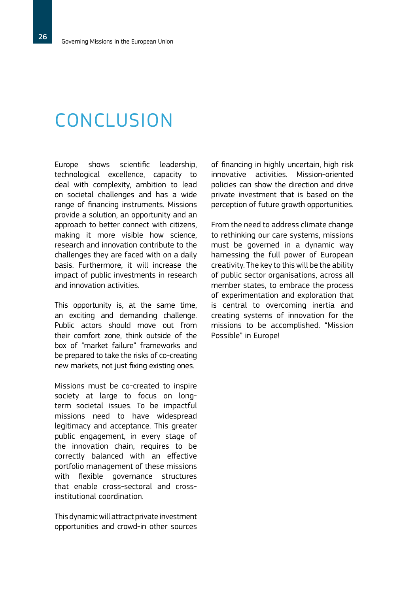# **CONCLUSION**

Europe shows scientific leadership, technological excellence, capacity to deal with complexity, ambition to lead on societal challenges and has a wide range of financing instruments. Missions provide a solution, an opportunity and an approach to better connect with citizens, making it more visible how science, research and innovation contribute to the challenges they are faced with on a daily basis. Furthermore, it will increase the impact of public investments in research and innovation activities.

This opportunity is, at the same time, an exciting and demanding challenge. Public actors should move out from their comfort zone, think outside of the box of "market failure" frameworks and be prepared to take the risks of co-creating new markets, not just fixing existing ones.

Missions must be co-created to inspire society at large to focus on longterm societal issues. To be impactful missions need to have widespread legitimacy and acceptance. This greater public engagement, in every stage of the innovation chain, requires to be correctly balanced with an effective portfolio management of these missions with flexible governance structures that enable cross-sectoral and crossinstitutional coordination.

This dynamic will attract private investment opportunities and crowd-in other sources of financing in highly uncertain, high risk innovative activities. Mission-oriented policies can show the direction and drive private investment that is based on the perception of future growth opportunities.

From the need to address climate change to rethinking our care systems, missions must be governed in a dynamic way harnessing the full power of European creativity. The key to this will be the ability of public sector organisations, across all member states, to embrace the process of experimentation and exploration that is central to overcoming inertia and creating systems of innovation for the missions to be accomplished. "Mission Possible" in Europe!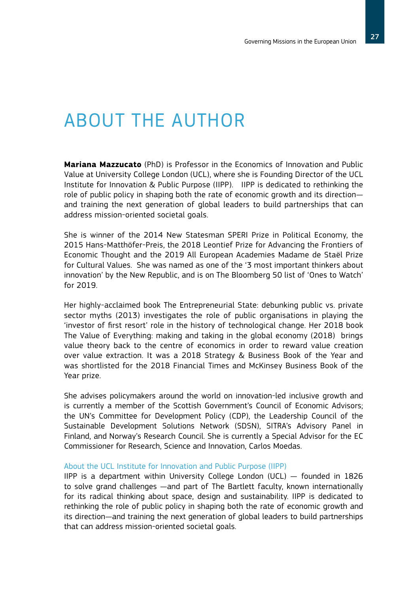# ABOUT THE AUTHOR

**Mariana Mazzucato** (PhD) is Professor in the Economics of Innovation and Public Value at University College London (UCL), where she is Founding Director of the UCL Institute for Innovation & Public Purpose (IIPP). IIPP is dedicated to rethinking the role of public policy in shaping both the rate of economic growth and its direction and training the next generation of global leaders to build partnerships that can address mission-oriented societal goals.

She is winner of the 2014 New Statesman SPERI Prize in Political Economy, the 2015 Hans-Matthöfer-Preis, the 2018 Leontief Prize for Advancing the Frontiers of Economic Thought and the 2019 All European Academies Madame de Staël Prize for Cultural Values. She was named as one of the '3 most important thinkers about innovation' by the New Republic, and is on The Bloomberg 50 list of 'Ones to Watch' for 2019.

Her highly-acclaimed book The Entrepreneurial State: debunking public vs. private sector myths (2013) investigates the role of public organisations in playing the 'investor of first resort' role in the history of technological change. Her 2018 book The Value of Everything: making and taking in the global economy (2018) brings value theory back to the centre of economics in order to reward value creation over value extraction. It was a 2018 Strategy & Business Book of the Year and was shortlisted for the 2018 Financial Times and McKinsey Business Book of the Year prize.

She advises policymakers around the world on innovation-led inclusive growth and is currently a member of the Scottish Government's Council of Economic Advisors; the UN's Committee for Development Policy (CDP), the Leadership Council of the Sustainable Development Solutions Network (SDSN), SITRA's Advisory Panel in Finland, and Norway's Research Council. She is currently a Special Advisor for the EC Commissioner for Research, Science and Innovation, Carlos Moedas.

#### About the UCL Institute for Innovation and Public Purpose (IIPP)

IIPP is a department within University College London (UCL) — founded in 1826 to solve grand challenges —and part of The Bartlett faculty, known internationally for its radical thinking about space, design and sustainability. IIPP is dedicated to rethinking the role of public policy in shaping both the rate of economic growth and its direction—and training the next generation of global leaders to build partnerships that can address mission-oriented societal goals.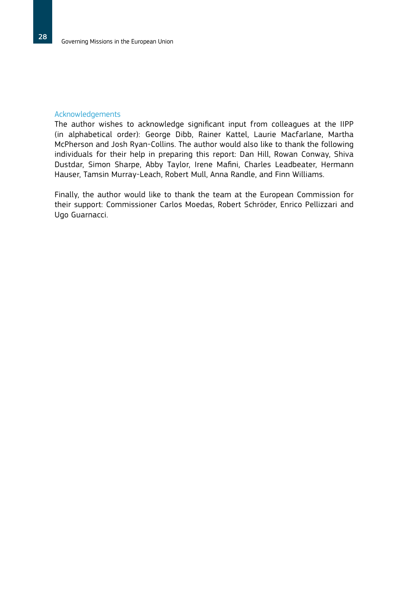#### Acknowledgements

The author wishes to acknowledge significant input from colleagues at the IIPP (in alphabetical order): George Dibb, Rainer Kattel, Laurie Macfarlane, Martha McPherson and Josh Ryan-Collins. The author would also like to thank the following individuals for their help in preparing this report: Dan Hill, Rowan Conway, Shiva Dustdar, Simon Sharpe, Abby Taylor, Irene Mafini, Charles Leadbeater, Hermann Hauser, Tamsin Murray-Leach, Robert Mull, Anna Randle, and Finn Williams.

Finally, the author would like to thank the team at the European Commission for their support: Commissioner Carlos Moedas, Robert Schröder, Enrico Pellizzari and Ugo Guarnacci.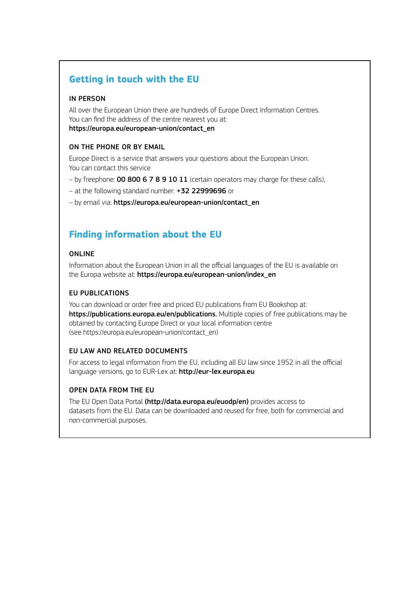#### **Getting in touch with the EU**

#### IN PERSON

All over the European Union there are hundreds of Europe Direct Information Centres. You can find the address of the centre nearest you at: https://europa.eu/european-union/contact\_en

#### ON THE PHONE OR BY EMAIL

Europe Direct is a service that answers your questions about the European Union. You can contact this service

- by freephone: **00 800 6 7 8 9 10 11** (certain operators may charge for these calls),
- at the following standard number: +32 22999696 or
- by email via: https://europa.eu/european-union/contact\_en

### **Finding information about the EU**

#### ONLINE

Information about the European Union in all the official languages of the EU is available on the Europa website at: https://europa.eu/european-union/index\_en

#### EU PUBLICATIONS

You can download or order free and priced EU publications from EU Bookshop at: https://publications.europa.eu/en/publications. Multiple copies of free publications may be obtained by contacting Europe Direct or your local information centre (see https://europa.eu/european-union/contact\_en)

#### EU LAW AND RELATED DOCUMENTS

For access to legal information from the EU, including all EU law since 1952 in all the official language versions, go to EUR-Lex at: http://eur-lex.europa.eu

#### OPEN DATA FROM THE EU

The EU Open Data Portal (http://data.europa.eu/euodp/en) provides access to datasets from the EU. Data can be downloaded and reused for free, both for commercial and non-commercial purposes.